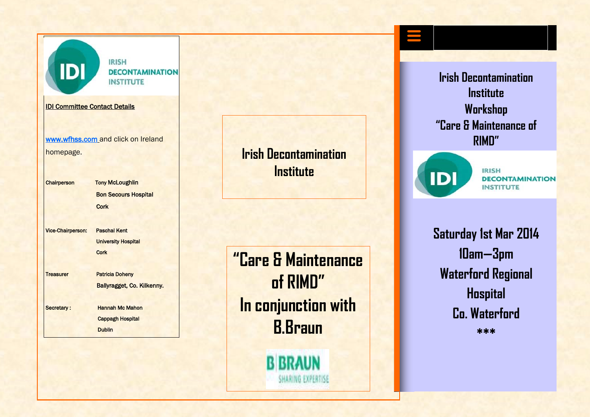

**IRISH DECONTAMINATION INSTITUTE** 

IDI Committee Contact Details

[www.wfhss.com](http://www.wfhss.com/) and click on Ireland homepage.

Chairperson Tony McLoughlin **Bon Secours Hospital Cork** 

Vice-Chairperson: Paschal Kent University Hospital **Cork** 

Treasurer Patricia Doheny

Ballyragget, Co. Kilkenny.

Secretary : Hannah Mc Mahon Cappagh Hospital Dublin

**Irish Decontamination Institute**

**"Care & Maintenance of RIMD" In conjunction with B.Braun**

**B BRAUN** 

SHARING EXPERTISE

**Irish Decontamination Institute Workshop "Care & Maintenance of RIMD"**



**IRISH DECONTAMINATION INSTITUTE** 

**Saturday 1st Mar 2014 10am—3pm Waterford Regional Hospital Co. Waterford \*\*\***